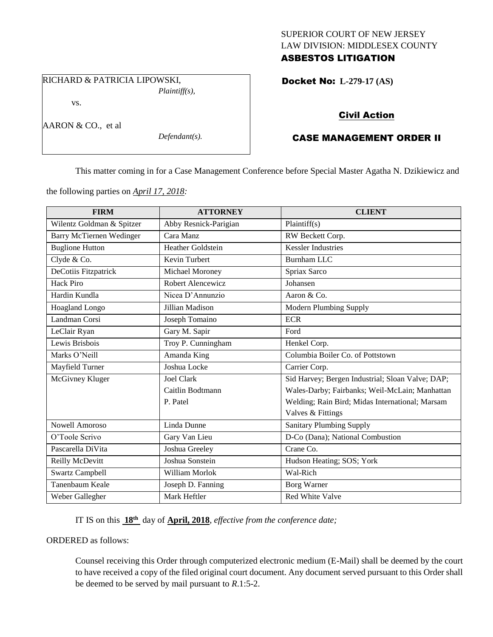## SUPERIOR COURT OF NEW JERSEY LAW DIVISION: MIDDLESEX COUNTY ASBESTOS LITIGATION

RICHARD & PATRICIA LIPOWSKI, *Plaintiff(s),*

vs.

AARON & CO., et al

*Defendant(s).*

Docket No: **L-279-17 (AS)** 

# Civil Action

# CASE MANAGEMENT ORDER II

This matter coming in for a Case Management Conference before Special Master Agatha N. Dzikiewicz and

the following parties on *April 17, 2018:*

| <b>FIRM</b>                     | <b>ATTORNEY</b>          | <b>CLIENT</b>                                    |
|---------------------------------|--------------------------|--------------------------------------------------|
| Wilentz Goldman & Spitzer       | Abby Resnick-Parigian    | Plaintiff(s)                                     |
| <b>Barry McTiernen Wedinger</b> | Cara Manz                | RW Beckett Corp.                                 |
| <b>Buglione Hutton</b>          | <b>Heather Goldstein</b> | <b>Kessler Industries</b>                        |
| Clyde & Co.                     | Kevin Turbert            | <b>Burnham LLC</b>                               |
| DeCotiis Fitzpatrick            | Michael Moroney          | Spriax Sarco                                     |
| <b>Hack Piro</b>                | Robert Alencewicz        | Johansen                                         |
| Hardin Kundla                   | Nicea D'Annunzio         | Aaron & Co.                                      |
| Hoagland Longo                  | Jillian Madison          | Modern Plumbing Supply                           |
| Landman Corsi                   | Joseph Tomaino           | <b>ECR</b>                                       |
| LeClair Ryan                    | Gary M. Sapir            | Ford                                             |
| Lewis Brisbois                  | Troy P. Cunningham       | Henkel Corp.                                     |
| Marks O'Neill                   | Amanda King              | Columbia Boiler Co. of Pottstown                 |
| Mayfield Turner                 | Joshua Locke             | Carrier Corp.                                    |
| McGivney Kluger                 | <b>Joel Clark</b>        | Sid Harvey; Bergen Industrial; Sloan Valve; DAP; |
|                                 | Caitlin Bodtmann         | Wales-Darby; Fairbanks; Weil-McLain; Manhattan   |
|                                 | P. Patel                 | Welding; Rain Bird; Midas International; Marsam  |
|                                 |                          | Valves & Fittings                                |
| <b>Nowell Amoroso</b>           | Linda Dunne              | <b>Sanitary Plumbing Supply</b>                  |
| O'Toole Scrivo                  | Gary Van Lieu            | D-Co (Dana); National Combustion                 |
| Pascarella DiVita               | Joshua Greeley           | Crane Co.                                        |
| Reilly McDevitt                 | Joshua Sonstein          | Hudson Heating; SOS; York                        |
| Swartz Campbell                 | William Morlok           | Wal-Rich                                         |
| Tanenbaum Keale                 | Joseph D. Fanning        | Borg Warner                                      |
| Weber Gallegher                 | Mark Heftler             | Red White Valve                                  |

IT IS on this **18th** day of **April, 2018**, *effective from the conference date;*

ORDERED as follows:

Counsel receiving this Order through computerized electronic medium (E-Mail) shall be deemed by the court to have received a copy of the filed original court document. Any document served pursuant to this Order shall be deemed to be served by mail pursuant to *R*.1:5-2.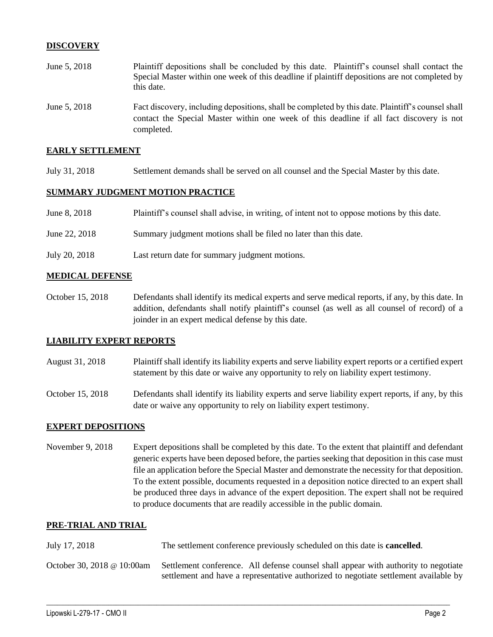## **DISCOVERY**

- June 5, 2018 Plaintiff depositions shall be concluded by this date. Plaintiff's counsel shall contact the Special Master within one week of this deadline if plaintiff depositions are not completed by this date.
- June 5, 2018 Fact discovery, including depositions, shall be completed by this date. Plaintiff's counsel shall contact the Special Master within one week of this deadline if all fact discovery is not completed.

#### **EARLY SETTLEMENT**

July 31, 2018 Settlement demands shall be served on all counsel and the Special Master by this date.

### **SUMMARY JUDGMENT MOTION PRACTICE**

| June 8, 2018  | Plaintiff's counsel shall advise, in writing, of intent not to oppose motions by this date. |
|---------------|---------------------------------------------------------------------------------------------|
| June 22, 2018 | Summary judgment motions shall be filed no later than this date.                            |
| July 20, 2018 | Last return date for summary judgment motions.                                              |

#### **MEDICAL DEFENSE**

October 15, 2018 Defendants shall identify its medical experts and serve medical reports, if any, by this date. In addition, defendants shall notify plaintiff's counsel (as well as all counsel of record) of a joinder in an expert medical defense by this date.

### **LIABILITY EXPERT REPORTS**

- August 31, 2018 Plaintiff shall identify its liability experts and serve liability expert reports or a certified expert statement by this date or waive any opportunity to rely on liability expert testimony.
- October 15, 2018 Defendants shall identify its liability experts and serve liability expert reports, if any, by this date or waive any opportunity to rely on liability expert testimony.

### **EXPERT DEPOSITIONS**

November 9, 2018 Expert depositions shall be completed by this date. To the extent that plaintiff and defendant generic experts have been deposed before, the parties seeking that deposition in this case must file an application before the Special Master and demonstrate the necessity for that deposition. To the extent possible, documents requested in a deposition notice directed to an expert shall be produced three days in advance of the expert deposition. The expert shall not be required to produce documents that are readily accessible in the public domain.

#### **PRE-TRIAL AND TRIAL**

- July 17, 2018 The settlement conference previously scheduled on this date is **cancelled**.
- October 30, 2018 @ 10:00am Settlement conference. All defense counsel shall appear with authority to negotiate settlement and have a representative authorized to negotiate settlement available by

 $\_$  ,  $\_$  ,  $\_$  ,  $\_$  ,  $\_$  ,  $\_$  ,  $\_$  ,  $\_$  ,  $\_$  ,  $\_$  ,  $\_$  ,  $\_$  ,  $\_$  ,  $\_$  ,  $\_$  ,  $\_$  ,  $\_$  ,  $\_$  ,  $\_$  ,  $\_$  ,  $\_$  ,  $\_$  ,  $\_$  ,  $\_$  ,  $\_$  ,  $\_$  ,  $\_$  ,  $\_$  ,  $\_$  ,  $\_$  ,  $\_$  ,  $\_$  ,  $\_$  ,  $\_$  ,  $\_$  ,  $\_$  ,  $\_$  ,